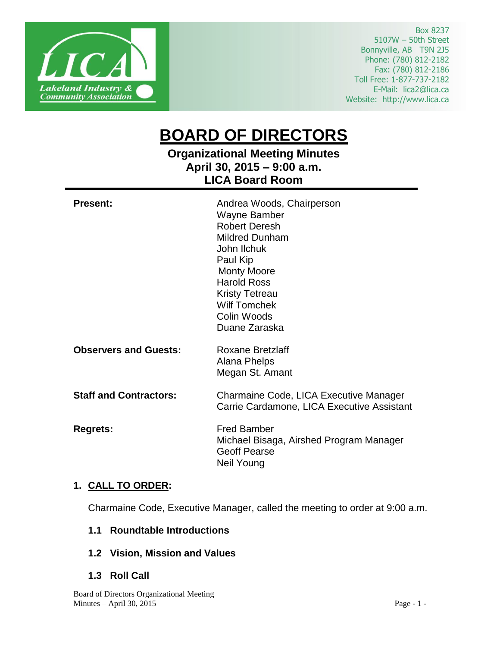

Box 8237 5107W – 50th Street Bonnyville, AB T9N 2J5 Phone: (780) 812-2182 Fax: (780) 812-2186 Toll Free: 1-877-737-2182 E-Mail: lica2@lica.ca Website: http://www.lica.ca

# **BOARD OF DIRECTORS**

# **Organizational Meeting Minutes April 30, 2015 – 9:00 a.m. LICA Board Room**

| <b>Present:</b>               | Andrea Woods, Chairperson<br><b>Wayne Bamber</b><br><b>Robert Deresh</b><br><b>Mildred Dunham</b><br>John Ilchuk<br>Paul Kip<br><b>Monty Moore</b><br><b>Harold Ross</b><br><b>Kristy Tetreau</b><br><b>Wilf Tomchek</b><br>Colin Woods<br>Duane Zaraska |
|-------------------------------|----------------------------------------------------------------------------------------------------------------------------------------------------------------------------------------------------------------------------------------------------------|
| <b>Observers and Guests:</b>  | <b>Roxane Bretzlaff</b><br>Alana Phelps<br>Megan St. Amant                                                                                                                                                                                               |
| <b>Staff and Contractors:</b> | Charmaine Code, LICA Executive Manager<br>Carrie Cardamone, LICA Executive Assistant                                                                                                                                                                     |
| <b>Regrets:</b>               | <b>Fred Bamber</b><br>Michael Bisaga, Airshed Program Manager<br><b>Geoff Pearse</b><br>Neil Young                                                                                                                                                       |

# **1. CALL TO ORDER:**

Charmaine Code, Executive Manager, called the meeting to order at 9:00 a.m.

#### **1.1 Roundtable Introductions**

- **1.2 Vision, Mission and Values**
- **1.3 Roll Call**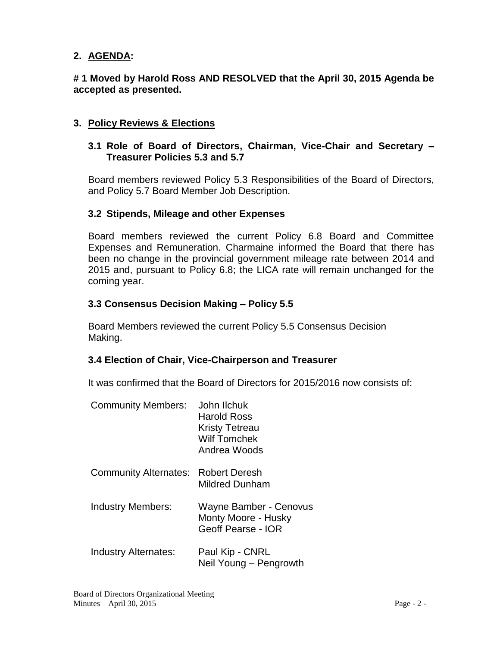# **2. AGENDA:**

**# 1 Moved by Harold Ross AND RESOLVED that the April 30, 2015 Agenda be accepted as presented.**

## **3. Policy Reviews & Elections**

#### **3.1 Role of Board of Directors, Chairman, Vice-Chair and Secretary – Treasurer Policies 5.3 and 5.7**

Board members reviewed Policy 5.3 Responsibilities of the Board of Directors, and Policy 5.7 Board Member Job Description.

#### **3.2 Stipends, Mileage and other Expenses**

Board members reviewed the current Policy 6.8 Board and Committee Expenses and Remuneration. Charmaine informed the Board that there has been no change in the provincial government mileage rate between 2014 and 2015 and, pursuant to Policy 6.8; the LICA rate will remain unchanged for the coming year.

#### **3.3 Consensus Decision Making – Policy 5.5**

Board Members reviewed the current Policy 5.5 Consensus Decision Making.

#### **3.4 Election of Chair, Vice-Chairperson and Treasurer**

It was confirmed that the Board of Directors for 2015/2016 now consists of:

| <b>Community Members:</b>    | John Ilchuk<br><b>Harold Ross</b><br><b>Kristy Tetreau</b><br><b>Wilf Tomchek</b><br>Andrea Woods |
|------------------------------|---------------------------------------------------------------------------------------------------|
| <b>Community Alternates:</b> | Robert Deresh<br>Mildred Dunham                                                                   |
| <b>Industry Members:</b>     | Wayne Bamber - Cenovus<br>Monty Moore - Husky<br>Geoff Pearse - IOR                               |
| Industry Alternates:         | Paul Kip - CNRL<br>Neil Young – Pengrowth                                                         |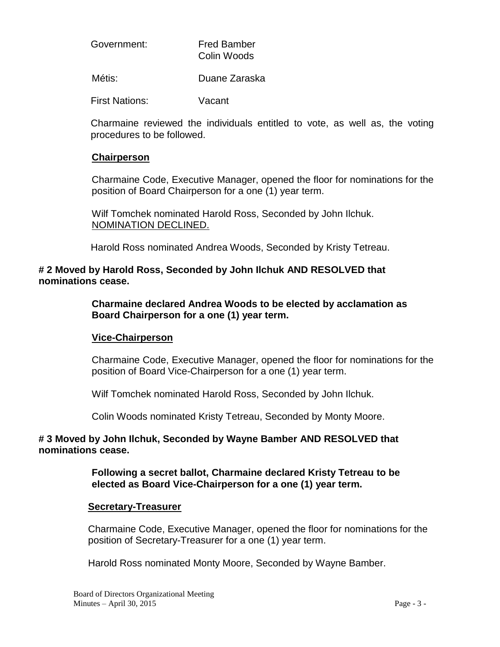| Government: | <b>Fred Bamber</b> |
|-------------|--------------------|
|             | Colin Woods        |

Métis: Duane Zaraska

First Nations: Vacant

Charmaine reviewed the individuals entitled to vote, as well as, the voting procedures to be followed.

#### **Chairperson**

Charmaine Code, Executive Manager, opened the floor for nominations for the position of Board Chairperson for a one (1) year term.

Wilf Tomchek nominated Harold Ross, Seconded by John Ilchuk. NOMINATION DECLINED.

Harold Ross nominated Andrea Woods, Seconded by Kristy Tetreau.

#### **# 2 Moved by Harold Ross, Seconded by John Ilchuk AND RESOLVED that nominations cease.**

**Charmaine declared Andrea Woods to be elected by acclamation as Board Chairperson for a one (1) year term.**

#### **Vice-Chairperson**

Charmaine Code, Executive Manager, opened the floor for nominations for the position of Board Vice-Chairperson for a one (1) year term.

Wilf Tomchek nominated Harold Ross, Seconded by John Ilchuk.

Colin Woods nominated Kristy Tetreau, Seconded by Monty Moore.

#### **# 3 Moved by John Ilchuk, Seconded by Wayne Bamber AND RESOLVED that nominations cease.**

**Following a secret ballot, Charmaine declared Kristy Tetreau to be elected as Board Vice-Chairperson for a one (1) year term.**

#### **Secretary-Treasurer**

Charmaine Code, Executive Manager, opened the floor for nominations for the position of Secretary-Treasurer for a one (1) year term.

Harold Ross nominated Monty Moore, Seconded by Wayne Bamber.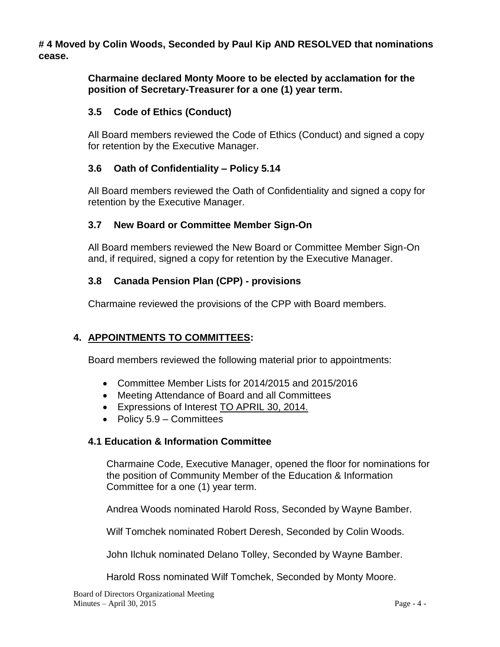**# 4 Moved by Colin Woods, Seconded by Paul Kip AND RESOLVED that nominations cease.**

> **Charmaine declared Monty Moore to be elected by acclamation for the position of Secretary-Treasurer for a one (1) year term.**

# **3.5 Code of Ethics (Conduct)**

All Board members reviewed the Code of Ethics (Conduct) and signed a copy for retention by the Executive Manager.

# **3.6 Oath of Confidentiality – Policy 5.14**

All Board members reviewed the Oath of Confidentiality and signed a copy for retention by the Executive Manager.

# **3.7 New Board or Committee Member Sign-On**

All Board members reviewed the New Board or Committee Member Sign-On and, if required, signed a copy for retention by the Executive Manager.

# **3.8 Canada Pension Plan (CPP) - provisions**

Charmaine reviewed the provisions of the CPP with Board members.

# **4. APPOINTMENTS TO COMMITTEES:**

Board members reviewed the following material prior to appointments:

- Committee Member Lists for 2014/2015 and 2015/2016
- Meeting Attendance of Board and all Committees
- Expressions of Interest TO APRIL 30, 2014.
- Policy  $5.9$  Committees

# **4.1 Education & Information Committee**

Charmaine Code, Executive Manager, opened the floor for nominations for the position of Community Member of the Education & Information Committee for a one (1) year term.

Andrea Woods nominated Harold Ross, Seconded by Wayne Bamber.

Wilf Tomchek nominated Robert Deresh, Seconded by Colin Woods.

John Ilchuk nominated Delano Tolley, Seconded by Wayne Bamber.

Harold Ross nominated Wilf Tomchek, Seconded by Monty Moore.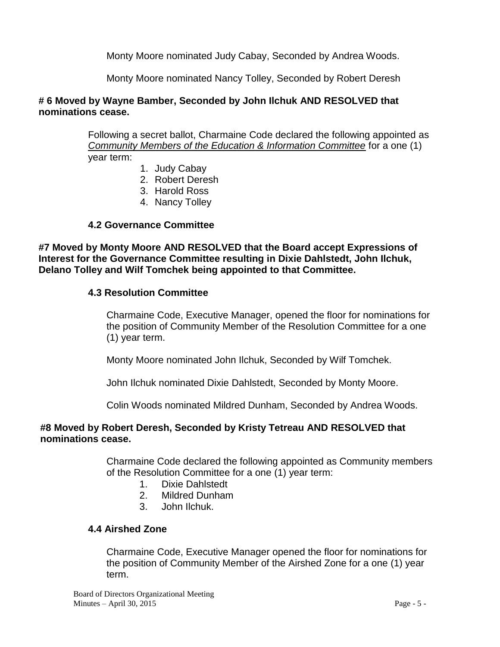Monty Moore nominated Judy Cabay, Seconded by Andrea Woods.

Monty Moore nominated Nancy Tolley, Seconded by Robert Deresh

#### **# 6 Moved by Wayne Bamber, Seconded by John Ilchuk AND RESOLVED that nominations cease.**

Following a secret ballot, Charmaine Code declared the following appointed as *Community Members of the Education & Information Committee* for a one (1) year term:

- 1. Judy Cabay
- 2. Robert Deresh
- 3. Harold Ross
- 4. Nancy Tolley

## **4.2 Governance Committee**

**#7 Moved by Monty Moore AND RESOLVED that the Board accept Expressions of Interest for the Governance Committee resulting in Dixie Dahlstedt, John Ilchuk, Delano Tolley and Wilf Tomchek being appointed to that Committee.** 

#### **4.3 Resolution Committee**

Charmaine Code, Executive Manager, opened the floor for nominations for the position of Community Member of the Resolution Committee for a one (1) year term.

Monty Moore nominated John Ilchuk, Seconded by Wilf Tomchek.

John Ilchuk nominated Dixie Dahlstedt, Seconded by Monty Moore.

Colin Woods nominated Mildred Dunham, Seconded by Andrea Woods.

## **#8 Moved by Robert Deresh, Seconded by Kristy Tetreau AND RESOLVED that nominations cease.**

Charmaine Code declared the following appointed as Community members of the Resolution Committee for a one (1) year term:

- 1. Dixie Dahlstedt
- 2. Mildred Dunham
- 3. John Ilchuk.

# **4.4 Airshed Zone**

Charmaine Code, Executive Manager opened the floor for nominations for the position of Community Member of the Airshed Zone for a one (1) year term.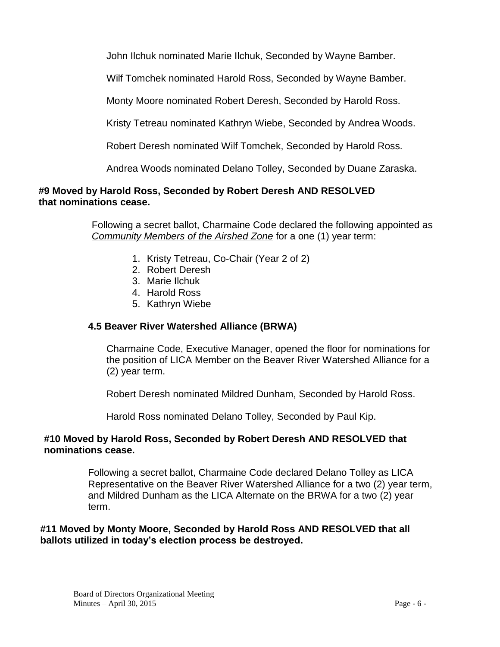John Ilchuk nominated Marie Ilchuk, Seconded by Wayne Bamber.

Wilf Tomchek nominated Harold Ross, Seconded by Wayne Bamber.

Monty Moore nominated Robert Deresh, Seconded by Harold Ross.

Kristy Tetreau nominated Kathryn Wiebe, Seconded by Andrea Woods.

Robert Deresh nominated Wilf Tomchek, Seconded by Harold Ross.

Andrea Woods nominated Delano Tolley, Seconded by Duane Zaraska.

# **#9 Moved by Harold Ross, Seconded by Robert Deresh AND RESOLVED that nominations cease.**

Following a secret ballot, Charmaine Code declared the following appointed as *Community Members of the Airshed Zone* for a one (1) year term:

- 1. Kristy Tetreau, Co-Chair (Year 2 of 2)
- 2. Robert Deresh
- 3. Marie Ilchuk
- 4. Harold Ross
- 5. Kathryn Wiebe

#### **4.5 Beaver River Watershed Alliance (BRWA)**

Charmaine Code, Executive Manager, opened the floor for nominations for the position of LICA Member on the Beaver River Watershed Alliance for a (2) year term.

Robert Deresh nominated Mildred Dunham, Seconded by Harold Ross.

Harold Ross nominated Delano Tolley, Seconded by Paul Kip.

#### **#10 Moved by Harold Ross, Seconded by Robert Deresh AND RESOLVED that nominations cease.**

Following a secret ballot, Charmaine Code declared Delano Tolley as LICA Representative on the Beaver River Watershed Alliance for a two (2) year term, and Mildred Dunham as the LICA Alternate on the BRWA for a two (2) year term.

## **#11 Moved by Monty Moore, Seconded by Harold Ross AND RESOLVED that all ballots utilized in today's election process be destroyed.**